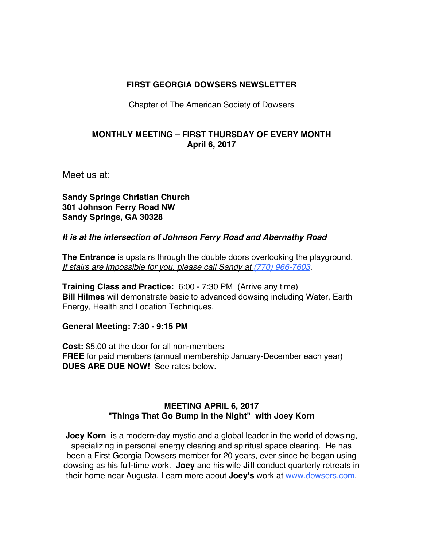### **FIRST GEORGIA DOWSERS NEWSLETTER**

Chapter of The American Society of Dowsers

### **MONTHLY MEETING – FIRST THURSDAY OF EVERY MONTH April 6, 2017**

Meet us at:

**Sandy Springs Christian Church 301 Johnson Ferry Road NW Sandy Springs, GA 30328**

### *It is at the intersection of Johnson Ferry Road and Abernathy Road*

**The Entrance** is upstairs through the double doors overlooking the playground. *If stairs are impossible for you, please call Sandy at (770) 966-7603*.

**Training Class and Practice:** 6:00 - 7:30 PM (Arrive any time) **Bill Hilmes** will demonstrate basic to advanced dowsing including Water, Earth Energy, Health and Location Techniques.

**General Meeting: 7:30 - 9:15 PM** 

**Cost:** \$5.00 at the door for all non-members **FREE** for paid members (annual membership January-December each year) **DUES ARE DUE NOW!** See rates below.

### **MEETING APRIL 6, 2017 "Things That Go Bump in the Night" with Joey Korn**

**Joey Korn** is a modern-day mystic and a global leader in the world of dowsing, specializing in personal energy clearing and spiritual space clearing. He has been a First Georgia Dowsers member for 20 years, ever since he began using dowsing as his full-time work. **Joey** and his wife **Jill** conduct quarterly retreats in their home near Augusta. Learn more about **Joey's** work at www.dowsers.com.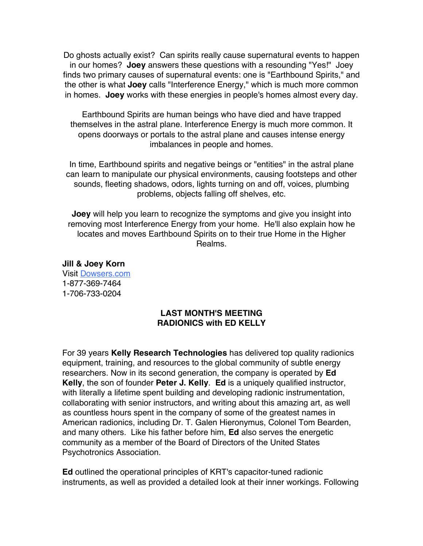Do ghosts actually exist? Can spirits really cause supernatural events to happen in our homes? **Joey** answers these questions with a resounding "Yes!" Joey finds two primary causes of supernatural events: one is "Earthbound Spirits," and the other is what **Joey** calls "Interference Energy," which is much more common in homes. **Joey** works with these energies in people's homes almost every day.

Earthbound Spirits are human beings who have died and have trapped themselves in the astral plane. Interference Energy is much more common. It opens doorways or portals to the astral plane and causes intense energy imbalances in people and homes.

In time, Earthbound spirits and negative beings or "entities" in the astral plane can learn to manipulate our physical environments, causing footsteps and other sounds, fleeting shadows, odors, lights turning on and off, voices, plumbing problems, objects falling off shelves, etc.

**Joey** will help you learn to recognize the symptoms and give you insight into removing most Interference Energy from your home. He'll also explain how he locates and moves Earthbound Spirits on to their true Home in the Higher Realms.

**Jill & Joey Korn** Visit Dowsers.com 1-877-369-7464 1-706-733-0204

#### **LAST MONTH'S MEETING RADIONICS with ED KELLY**

For 39 years **Kelly Research Technologies** has delivered top quality radionics equipment, training, and resources to the global community of subtle energy researchers. Now in its second generation, the company is operated by **Ed Kelly**, the son of founder **Peter J. Kelly**. **Ed** is a uniquely qualified instructor, with literally a lifetime spent building and developing radionic instrumentation, collaborating with senior instructors, and writing about this amazing art, as well as countless hours spent in the company of some of the greatest names in American radionics, including Dr. T. Galen Hieronymus, Colonel Tom Bearden, and many others. Like his father before him, **Ed** also serves the energetic community as a member of the Board of Directors of the United States Psychotronics Association.

**Ed** outlined the operational principles of KRT's capacitor-tuned radionic instruments, as well as provided a detailed look at their inner workings. Following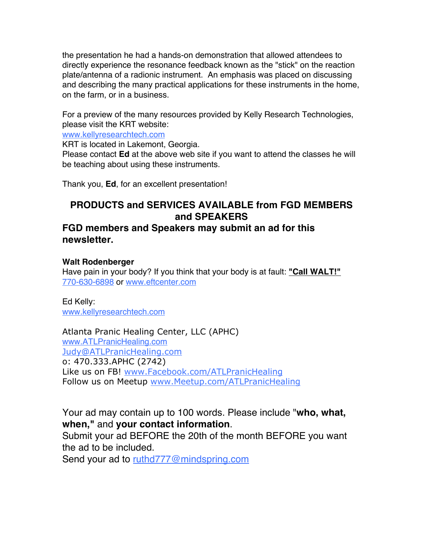the presentation he had a hands-on demonstration that allowed attendees to directly experience the resonance feedback known as the "stick" on the reaction plate/antenna of a radionic instrument. An emphasis was placed on discussing and describing the many practical applications for these instruments in the home, on the farm, or in a business.

For a preview of the many resources provided by Kelly Research Technologies, please visit the KRT website:

www.kellyresearchtech.com

KRT is located in Lakemont, Georgia.

Please contact **Ed** at the above web site if you want to attend the classes he will be teaching about using these instruments.

Thank you, **Ed**, for an excellent presentation!

## **PRODUCTS and SERVICES AVAILABLE from FGD MEMBERS and SPEAKERS**

### **FGD members and Speakers may submit an ad for this newsletter.**

### **Walt Rodenberger**

Have pain in your body? If you think that your body is at fault: **"Call WALT!"** 770-630-6898 or www.eftcenter.com

Ed Kelly: www.kellyresearchtech.com

Atlanta Pranic Healing Center, LLC (APHC) www.ATLPranicHealing.com Judy@ATLPranicHealing.com o: 470.333.APHC (2742) Like us on FB! www.Facebook.com/ATLPranicHealing Follow us on Meetup www.Meetup.com/ATLPranicHealing

Your ad may contain up to 100 words. Please include "**who, what, when,"** and **your contact information**.

Submit your ad BEFORE the 20th of the month BEFORE you want the ad to be included.

Send your ad to ruthd777@mindspring.com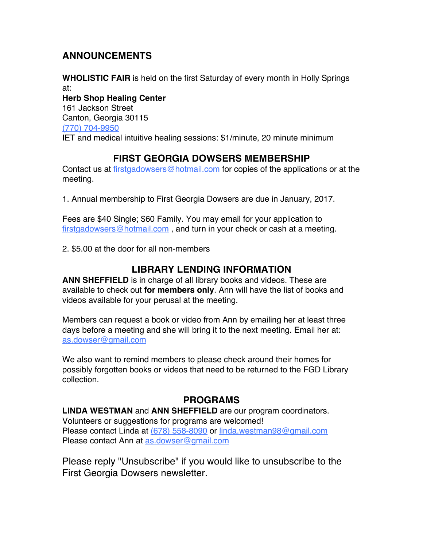# **ANNOUNCEMENTS**

**WHOLISTIC FAIR** is held on the first Saturday of every month in Holly Springs at: **Herb Shop Healing Center** 161 Jackson Street Canton, Georgia 30115 (770) 704-9950 IET and medical intuitive healing sessions: \$1/minute, 20 minute minimum

# **FIRST GEORGIA DOWSERS MEMBERSHIP**

Contact us at firstgadowsers@hotmail.com for copies of the applications or at the meeting.

1. Annual membership to First Georgia Dowsers are due in January, 2017.

Fees are \$40 Single; \$60 Family. You may email for your application to firstgadowsers@hotmail.com , and turn in your check or cash at a meeting.

2. \$5.00 at the door for all non-members

## **LIBRARY LENDING INFORMATION**

**ANN SHEFFIELD** is in charge of all library books and videos. These are available to check out **for members only**. Ann will have the list of books and videos available for your perusal at the meeting.

Members can request a book or video from Ann by emailing her at least three days before a meeting and she will bring it to the next meeting. Email her at: as.dowser@gmail.com

We also want to remind members to please check around their homes for possibly forgotten books or videos that need to be returned to the FGD Library collection.

# **PROGRAMS**

**LINDA WESTMAN** and **ANN SHEFFIELD** are our program coordinators. Volunteers or suggestions for programs are welcomed! Please contact Linda at (678) 558-8090 or linda.westman98@gmail.com Please contact Ann at as.dowser@gmail.com

Please reply "Unsubscribe" if you would like to unsubscribe to the First Georgia Dowsers newsletter.